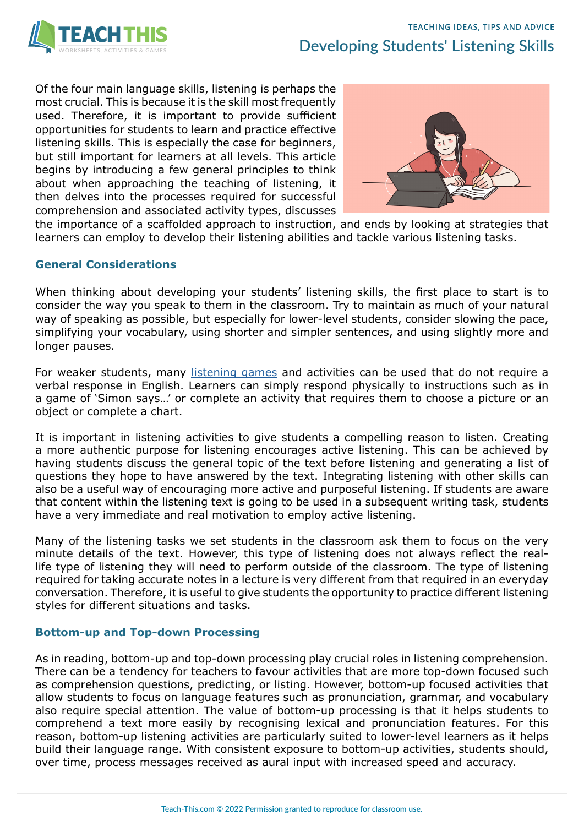

Of the four main language skills, listening is perhaps the most crucial. This is because it is the skill most frequently used. Therefore, it is important to provide sufficient opportunities for students to learn and practice effective listening skills. This is especially the case for beginners, but still important for learners at all levels. This article begins by introducing a few general principles to think about when approaching the teaching of listening, it then delves into the processes required for successful comprehension and associated activity types, discusses



the importance of a scaffolded approach to instruction, and ends by looking at strategies that learners can employ to develop their listening abilities and tackle various listening tasks.

# **General Considerations**

When thinking about developing your students' listening skills, the first place to start is to consider the way you speak to them in the classroom. Try to maintain as much of your natural way of speaking as possible, but especially for lower-level students, consider slowing the pace, simplifying your vocabulary, using shorter and simpler sentences, and using slightly more and longer pauses.

For weaker students, many [listening games](https://www.teach-this.com/esl-games/listening-games) and activities can be used that do not require a verbal response in English. Learners can simply respond physically to instructions such as in a game of 'Simon says…' or complete an activity that requires them to choose a picture or an object or complete a chart.

It is important in listening activities to give students a compelling reason to listen. Creating a more authentic purpose for listening encourages active listening. This can be achieved by having students discuss the general topic of the text before listening and generating a list of questions they hope to have answered by the text. Integrating listening with other skills can also be a useful way of encouraging more active and purposeful listening. If students are aware that content within the listening text is going to be used in a subsequent writing task, students have a very immediate and real motivation to employ active listening.

Many of the listening tasks we set students in the classroom ask them to focus on the very minute details of the text. However, this type of listening does not always reflect the reallife type of listening they will need to perform outside of the classroom. The type of listening required for taking accurate notes in a lecture is very different from that required in an everyday conversation. Therefore, it is useful to give students the opportunity to practice different listening styles for different situations and tasks.

# **Bottom-up and Top-down Processing**

As in reading, bottom-up and top-down processing play crucial roles in listening comprehension. There can be a tendency for teachers to favour activities that are more top-down focused such as comprehension questions, predicting, or listing. However, bottom-up focused activities that allow students to focus on language features such as pronunciation, grammar, and vocabulary also require special attention. The value of bottom-up processing is that it helps students to comprehend a text more easily by recognising lexical and pronunciation features. For this reason, bottom-up listening activities are particularly suited to lower-level learners as it helps build their language range. With consistent exposure to bottom-up activities, students should, over time, process messages received as aural input with increased speed and accuracy.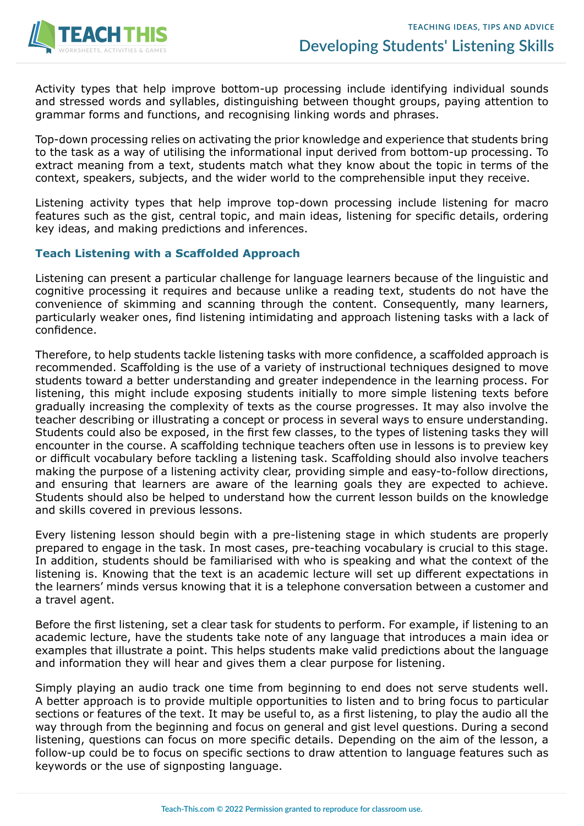

Activity types that help improve bottom-up processing include identifying individual sounds and stressed words and syllables, distinguishing between thought groups, paying attention to grammar forms and functions, and recognising linking words and phrases.

Top-down processing relies on activating the prior knowledge and experience that students bring to the task as a way of utilising the informational input derived from bottom-up processing. To extract meaning from a text, students match what they know about the topic in terms of the context, speakers, subjects, and the wider world to the comprehensible input they receive.

Listening activity types that help improve top-down processing include listening for macro features such as the gist, central topic, and main ideas, listening for specific details, ordering key ideas, and making predictions and inferences.

### **Teach Listening with a Scaffolded Approach**

Listening can present a particular challenge for language learners because of the linguistic and cognitive processing it requires and because unlike a reading text, students do not have the convenience of skimming and scanning through the content. Consequently, many learners, particularly weaker ones, find listening intimidating and approach listening tasks with a lack of confidence.

Therefore, to help students tackle listening tasks with more confidence, a scaffolded approach is recommended. Scaffolding is the use of a variety of instructional techniques designed to move students toward a better understanding and greater independence in the learning process. For listening, this might include exposing students initially to more simple listening texts before gradually increasing the complexity of texts as the course progresses. It may also involve the teacher describing or illustrating a concept or process in several ways to ensure understanding. Students could also be exposed, in the first few classes, to the types of listening tasks they will encounter in the course. A scaffolding technique teachers often use in lessons is to preview key or difficult vocabulary before tackling a listening task. Scaffolding should also involve teachers making the purpose of a listening activity clear, providing simple and easy-to-follow directions, and ensuring that learners are aware of the learning goals they are expected to achieve. Students should also be helped to understand how the current lesson builds on the knowledge and skills covered in previous lessons.

Every listening lesson should begin with a pre-listening stage in which students are properly prepared to engage in the task. In most cases, pre-teaching vocabulary is crucial to this stage. In addition, students should be familiarised with who is speaking and what the context of the listening is. Knowing that the text is an academic lecture will set up different expectations in the learners' minds versus knowing that it is a telephone conversation between a customer and a travel agent.

Before the first listening, set a clear task for students to perform. For example, if listening to an academic lecture, have the students take note of any language that introduces a main idea or examples that illustrate a point. This helps students make valid predictions about the language and information they will hear and gives them a clear purpose for listening.

Simply playing an audio track one time from beginning to end does not serve students well. A better approach is to provide multiple opportunities to listen and to bring focus to particular sections or features of the text. It may be useful to, as a first listening, to play the audio all the way through from the beginning and focus on general and gist level questions. During a second listening, questions can focus on more specific details. Depending on the aim of the lesson, a follow-up could be to focus on specific sections to draw attention to language features such as keywords or the use of signposting language.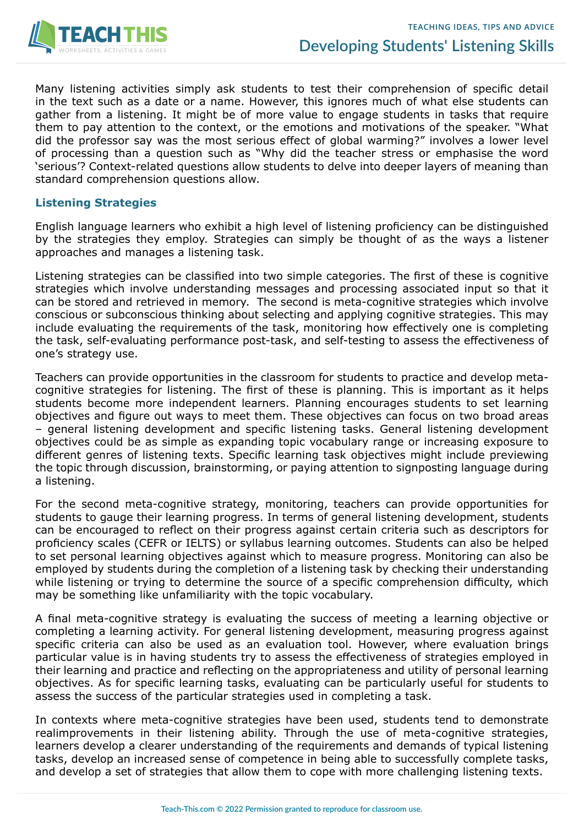

Many listening activities simply ask students to test their comprehension of specific detail in the text such as a date or a name. However, this ignores much of what else students can gather from a listening. It might be of more value to engage students in tasks that require them to pay attention to the context, or the emotions and motivations of the speaker. "What did the professor say was the most serious effect of global warming?" involves a lower level of processing than a question such as "Why did the teacher stress or emphasise the word 'serious'? Context-related questions allow students to delve into deeper layers of meaning than standard comprehension questions allow.

#### **Listening Strategies**

English language learners who exhibit a high level of listening proficiency can be distinguished by the strategies they employ. Strategies can simply be thought of as the ways a listener approaches and manages a listening task.

Listening strategies can be classified into two simple categories. The first of these is cognitive strategies which involve understanding messages and processing associated input so that it can be stored and retrieved in memory. The second is meta-cognitive strategies which involve conscious or subconscious thinking about selecting and applying cognitive strategies. This may include evaluating the requirements of the task, monitoring how effectively one is completing the task, self-evaluating performance post-task, and self-testing to assess the effectiveness of one's strategy use.

Teachers can provide opportunities in the classroom for students to practice and develop metacognitive strategies for listening. The first of these is planning. This is important as it helps students become more independent learners. Planning encourages students to set learning objectives and figure out ways to meet them. These objectives can focus on two broad areas – general listening development and specific listening tasks. General listening development objectives could be as simple as expanding topic vocabulary range or increasing exposure to different genres of listening texts. Specific learning task objectives might include previewing the topic through discussion, brainstorming, or paying attention to signposting language during a listening.

For the second meta-cognitive strategy, monitoring, teachers can provide opportunities for students to gauge their learning progress. In terms of general listening development, students can be encouraged to reflect on their progress against certain criteria such as descriptors for proficiency scales (CEFR or IELTS) or syllabus learning outcomes. Students can also be helped to set personal learning objectives against which to measure progress. Monitoring can also be employed by students during the completion of a listening task by checking their understanding while listening or trying to determine the source of a specific comprehension difficulty, which may be something like unfamiliarity with the topic vocabulary.

A final meta-cognitive strategy is evaluating the success of meeting a learning objective or completing a learning activity. For general listening development, measuring progress against specific criteria can also be used as an evaluation tool. However, where evaluation brings particular value is in having students try to assess the effectiveness of strategies employed in their learning and practice and reflecting on the appropriateness and utility of personal learning objectives. As for specific learning tasks, evaluating can be particularly useful for students to assess the success of the particular strategies used in completing a task.

In contexts where meta-cognitive strategies have been used, students tend to demonstrate realimprovements in their listening ability. Through the use of meta-cognitive strategies, learners develop a clearer understanding of the requirements and demands of typical listening tasks, develop an increased sense of competence in being able to successfully complete tasks, and develop a set of strategies that allow them to cope with more challenging listening texts.